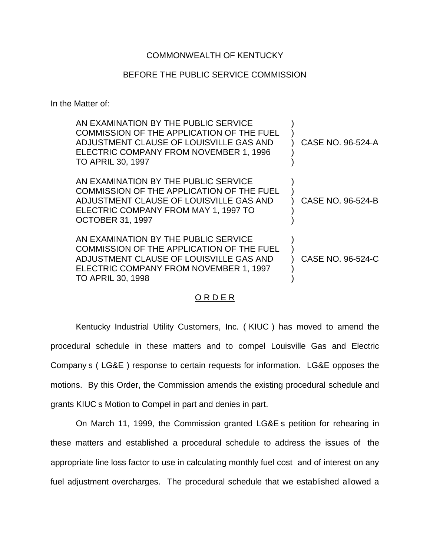### COMMONWEALTH OF KENTUCKY

### BEFORE THE PUBLIC SERVICE COMMISSION

In the Matter of:

| AN EXAMINATION BY THE PUBLIC SERVICE<br>COMMISSION OF THE APPLICATION OF THE FUEL<br>ADJUSTMENT CLAUSE OF LOUISVILLE GAS AND<br>ELECTRIC COMPANY FROM NOVEMBER 1, 1996<br><b>TO APRIL 30, 1997</b> | CASE NO. 96-524-A |
|----------------------------------------------------------------------------------------------------------------------------------------------------------------------------------------------------|-------------------|
| AN EXAMINATION BY THE PUBLIC SERVICE<br>COMMISSION OF THE APPLICATION OF THE FUEL<br>ADJUSTMENT CLAUSE OF LOUISVILLE GAS AND<br>ELECTRIC COMPANY FROM MAY 1, 1997 TO<br><b>OCTOBER 31, 1997</b>    | CASE NO. 96-524-B |
| AN EXAMINATION BY THE PUBLIC SERVICE<br>COMMISSION OF THE APPLICATION OF THE FUEL<br>ADJUSTMENT CLAUSE OF LOUISVILLE GAS AND<br>ELECTRIC COMPANY FROM NOVEMBER 1, 1997<br><b>TO APRIL 30, 1998</b> | CASE NO. 96-524-C |

## ORDER

Kentucky Industrial Utility Customers, Inc. ( KIUC ) has moved to amend the procedural schedule in these matters and to compel Louisville Gas and Electric Company s ( LG&E ) response to certain requests for information. LG&E opposes the motions. By this Order, the Commission amends the existing procedural schedule and grants KIUC s Motion to Compel in part and denies in part.

On March 11, 1999, the Commission granted LG&E s petition for rehearing in these matters and established a procedural schedule to address the issues of the appropriate line loss factor to use in calculating monthly fuel cost and of interest on any fuel adjustment overcharges. The procedural schedule that we established allowed a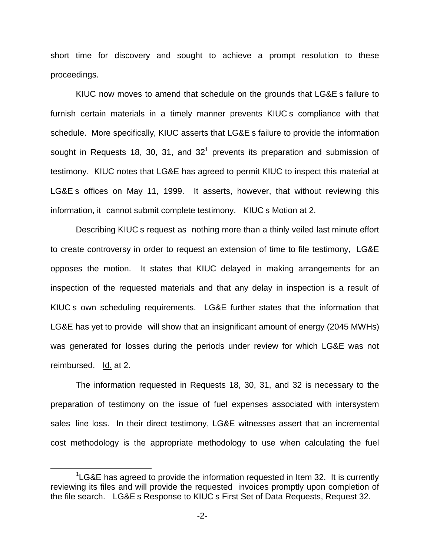short time for discovery and sought to achieve a prompt resolution to these proceedings.

KIUC now moves to amend that schedule on the grounds that LG&E s failure to furnish certain materials in a timely manner prevents KIUC s compliance with that schedule. More specifically, KIUC asserts that LG&E s failure to provide the information sought in Requests 18, 30, 31, and  $32<sup>1</sup>$  prevents its preparation and submission of testimony. KIUC notes that LG&E has agreed to permit KIUC to inspect this material at LG&E s offices on May 11, 1999. It asserts, however, that without reviewing this information, it cannot submit complete testimony. KIUC s Motion at 2.

Describing KIUC s request as nothing more than a thinly veiled last minute effort to create controversy in order to request an extension of time to file testimony, LG&E opposes the motion. It states that KIUC delayed in making arrangements for an inspection of the requested materials and that any delay in inspection is a result of KIUC s own scheduling requirements. LG&E further states that the information that LG&E has yet to provide will show that an insignificant amount of energy (2045 MWHs) was generated for losses during the periods under review for which LG&E was not reimbursed. Id. at 2.

The information requested in Requests 18, 30, 31, and 32 is necessary to the preparation of testimony on the issue of fuel expenses associated with intersystem sales line loss. In their direct testimony, LG&E witnesses assert that an incremental cost methodology is the appropriate methodology to use when calculating the fuel

 $1$ LG&E has agreed to provide the information requested in Item 32. It is currently reviewing its files and will provide the requested invoices promptly upon completion of the file search. LG&E s Response to KIUC s First Set of Data Requests, Request 32.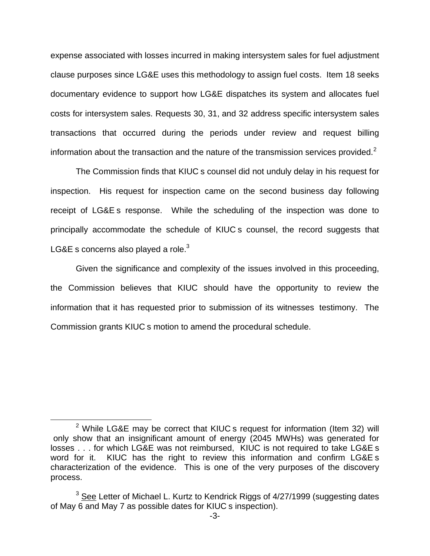expense associated with losses incurred in making intersystem sales for fuel adjustment clause purposes since LG&E uses this methodology to assign fuel costs. Item 18 seeks documentary evidence to support how LG&E dispatches its system and allocates fuel costs for intersystem sales. Requests 30, 31, and 32 address specific intersystem sales transactions that occurred during the periods under review and request billing information about the transaction and the nature of the transmission services provided.<sup>2</sup>

The Commission finds that KIUC s counsel did not unduly delay in his request for inspection. His request for inspection came on the second business day following receipt of LG&E s response. While the scheduling of the inspection was done to principally accommodate the schedule of KIUC s counsel, the record suggests that LG&E s concerns also played a role. $3$ 

Given the significance and complexity of the issues involved in this proceeding, the Commission believes that KIUC should have the opportunity to review the information that it has requested prior to submission of its witnesses testimony. The Commission grants KIUC s motion to amend the procedural schedule.

 $2$  While LG&E may be correct that KIUC s request for information (Item 32) will only show that an insignificant amount of energy (2045 MWHs) was generated for losses . . . for which LG&E was not reimbursed, KIUC is not required to take LG&E s word for it. KIUC has the right to review this information and confirm LG&E s characterization of the evidence. This is one of the very purposes of the discovery process.

 $3$  See Letter of Michael L. Kurtz to Kendrick Riggs of  $4/27/1999$  (suggesting dates of May 6 and May 7 as possible dates for KIUC s inspection).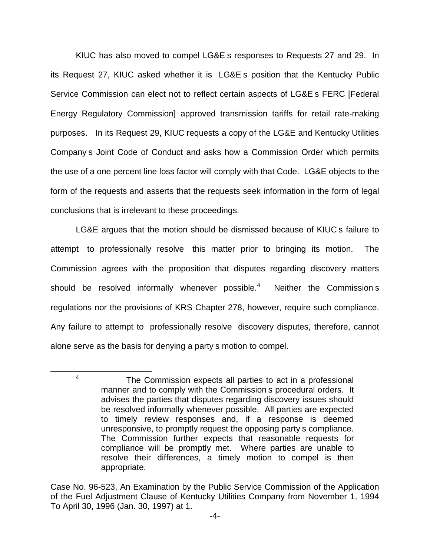KIUC has also moved to compel LG&E s responses to Requests 27 and 29. In its Request 27, KIUC asked whether it is LG&E s position that the Kentucky Public Service Commission can elect not to reflect certain aspects of LG&E s FERC [Federal Energy Regulatory Commission] approved transmission tariffs for retail rate-making purposes. In its Request 29, KIUC requests a copy of the LG&E and Kentucky Utilities Company s Joint Code of Conduct and asks how a Commission Order which permits the use of a one percent line loss factor will comply with that Code. LG&E objects to the form of the requests and asserts that the requests seek information in the form of legal conclusions that is irrelevant to these proceedings.

LG&E argues that the motion should be dismissed because of KIUC s failure to attempt to professionally resolve this matter prior to bringing its motion. The Commission agrees with the proposition that disputes regarding discovery matters should be resolved informally whenever possible.<sup>4</sup> Neither the Commission s regulations nor the provisions of KRS Chapter 278, however, require such compliance. Any failure to attempt to professionally resolve discovery disputes, therefore, cannot alone serve as the basis for denying a party s motion to compel.

<sup>4</sup> The Commission expects all parties to act in a professional manner and to comply with the Commission s procedural orders. It advises the parties that disputes regarding discovery issues should be resolved informally whenever possible. All parties are expected to timely review responses and, if a response is deemed unresponsive, to promptly request the opposing party s compliance. The Commission further expects that reasonable requests for compliance will be promptly met. Where parties are unable to resolve their differences, a timely motion to compel is then appropriate.

Case No. 96-523, An Examination by the Public Service Commission of the Application of the Fuel Adjustment Clause of Kentucky Utilities Company from November 1, 1994 To April 30, 1996 (Jan. 30, 1997) at 1.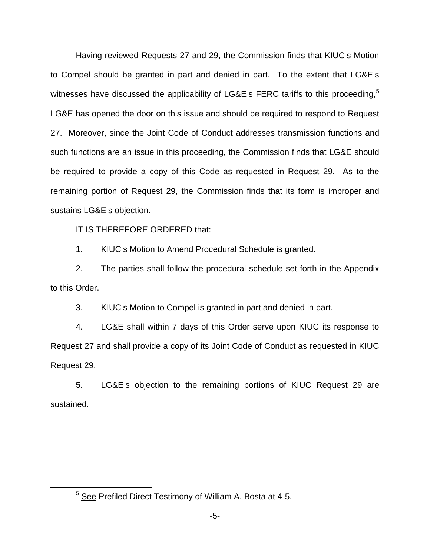Having reviewed Requests 27 and 29, the Commission finds that KIUC s Motion to Compel should be granted in part and denied in part. To the extent that LG&E s witnesses have discussed the applicability of LG&E s FERC tariffs to this proceeding,<sup>5</sup> LG&E has opened the door on this issue and should be required to respond to Request 27. Moreover, since the Joint Code of Conduct addresses transmission functions and such functions are an issue in this proceeding, the Commission finds that LG&E should be required to provide a copy of this Code as requested in Request 29. As to the remaining portion of Request 29, the Commission finds that its form is improper and sustains LG&E s objection.

IT IS THEREFORE ORDERED that:

1. KIUC s Motion to Amend Procedural Schedule is granted.

2. The parties shall follow the procedural schedule set forth in the Appendix to this Order.

3. KIUC s Motion to Compel is granted in part and denied in part.

4. LG&E shall within 7 days of this Order serve upon KIUC its response to Request 27 and shall provide a copy of its Joint Code of Conduct as requested in KIUC Request 29.

5. LG&E s objection to the remaining portions of KIUC Request 29 are sustained.

<sup>5</sup> See Prefiled Direct Testimony of William A. Bosta at 4-5.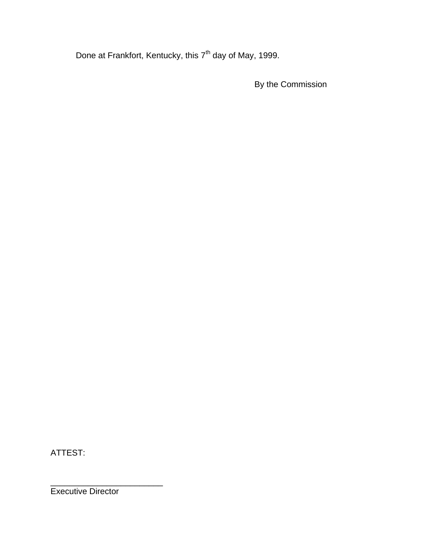Done at Frankfort, Kentucky, this 7<sup>th</sup> day of May, 1999.

By the Commission

ATTEST:

Executive Director

\_\_\_\_\_\_\_\_\_\_\_\_\_\_\_\_\_\_\_\_\_\_\_\_